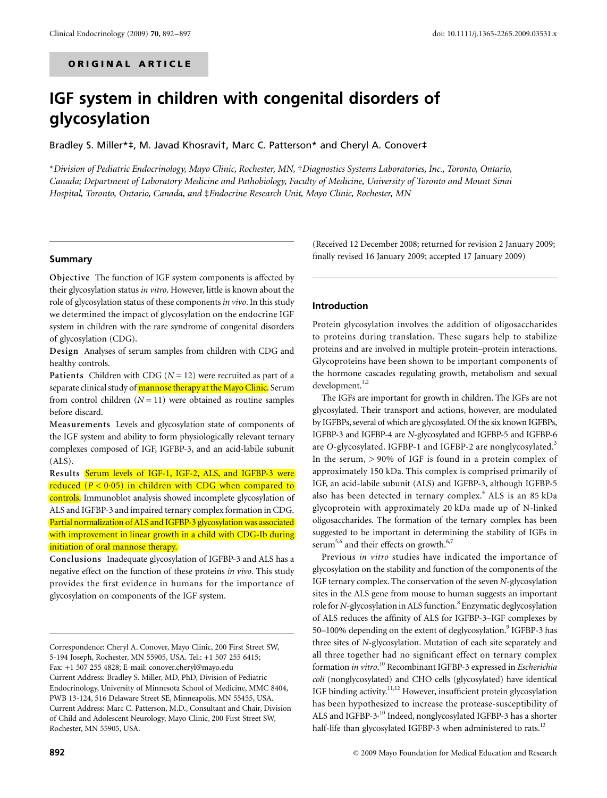# ORIGINAL ARTICLE

# **IGF system in children with congenital disorders of glycosylation**

Bradley S. Miller\*‡, M. Javad Khosravi†, Marc C. Patterson\* and Cheryl A. Conover‡

\**Division of Pediatric Endocrinology, Mayo Clinic, Rochester, MN,* †*Diagnostics Systems Laboratories, Inc., Toronto, Ontario, Canada; Department of Laboratory Medicine and Pathobiology, Faculty of Medicine, University of Toronto and Mount Sinai Hospital, Toronto, Ontario, Canada, and* ‡*Endocrine Research Unit, Mayo Clinic, Rochester, MN*

#### **Summary**

**Objective** The function of IGF system components is affected by their glycosylation status *in vitro*. However, little is known about the role of glycosylation status of these components *in vivo*. In this study we determined the impact of glycosylation on the endocrine IGF system in children with the rare syndrome of congenital disorders of glycosylation (CDG).

**Design** Analyses of serum samples from children with CDG and healthy controls.

**Patients** Children with CDG  $(N = 12)$  were recruited as part of a separate clinical study of mannose therapy at the Mayo Clinic. Serum from control children  $(N = 11)$  were obtained as routine samples before discard.

**Measurements** Levels and glycosylation state of components of the IGF system and ability to form physiologically relevant ternary complexes composed of IGF, IGFBP-3, and an acid-labile subunit (ALS).

**Results** Serum levels of IGF-1, IGF-2, ALS, and IGFBP-3 were reduced  $(P < 0.05)$  in children with CDG when compared to controls. Immunoblot analysis showed incomplete glycosylation of ALS and IGFBP-3 and impaired ternary complex formation in CDG. Partial normalization of ALS and IGFBP-3 glycosylation was associated with improvement in linear growth in a child with CDG-Ib during initiation of oral mannose therapy.

**Conclusions** Inadequate glycosylation of IGFBP-3 and ALS has a negative effect on the function of these proteins *in vivo*. This study provides the first evidence in humans for the importance of glycosylation on components of the IGF system.

(Received 12 December 2008; returned for revision 2 January 2009; finally revised 16 January 2009; accepted 17 January 2009)

# **Introduction**

Protein glycosylation involves the addition of oligosaccharides to proteins during translation. These sugars help to stabilize proteins and are involved in multiple protein–protein interactions. Glycoproteins have been shown to be important components of the hormone cascades regulating growth, metabolism and sexual development. $1,2$ 

The IGFs are important for growth in children. The IGFs are not glycosylated. Their transport and actions, however, are modulated by IGFBPs, several of which are glycosylated. Of the six known IGFBPs, IGFBP-3 and IGFBP-4 are *N*-glycosylated and IGFBP-5 and IGFBP-6 are O-glycosylated. IGFBP-1 and IGFBP-2 are nonglycosylated.<sup>3</sup> In the serum, > 90% of IGF is found in a protein complex of approximately 150 kDa. This complex is comprised primarily of IGF, an acid-labile subunit (ALS) and IGFBP-3, although IGFBP-5 also has been detected in ternary complex.<sup>4</sup> ALS is an 85 kDa glycoprotein with approximately 20 kDa made up of N-linked oligosaccharides. The formation of the ternary complex has been suggested to be important in determining the stability of IGFs in serum<sup>5,6</sup> and their effects on growth.<sup>6,7</sup>

Previous *in vitro* studies have indicated the importance of glycosylation on the stability and function of the components of the IGF ternary complex. The conservation of the seven *N*-glycosylation sites in the ALS gene from mouse to human suggests an important role for *N*-glycosylation in ALS function.<sup>8</sup> Enzymatic deglycosylation of ALS reduces the affinity of ALS for IGFBP-3–IGF complexes by 50-100% depending on the extent of deglycosylation.<sup>9</sup> IGFBP-3 has three sites of *N*-glycosylation. Mutation of each site separately and all three together had no significant effect on ternary complex formation *in vitro*. 10 Recombinant IGFBP-3 expressed in *Escherichia coli* (nonglycosylated) and CHO cells (glycosylated) have identical IGF binding activity.11,12 However, insufficient protein glycosylation has been hypothesized to increase the protease-susceptibility of ALS and IGFBP-3·10 Indeed, nonglycosylated IGFBP-3 has a shorter half-life than glycosylated IGFBP-3 when administered to rats.<sup>13</sup>

Correspondence: Cheryl A. Conover, Mayo Clinic, 200 First Street SW, 5-194 Joseph, Rochester, MN 55905, USA. Tel.: +1 507 255 6415; Fax: +1 507 255 4828; E-mail: conover.cheryl@mayo.edu Current Address: Bradley S. Miller, MD, PhD, Division of Pediatric Endocrinology, University of Minnesota School of Medicine, MMC 8404, PWB 13-124, 516 Delaware Street SE, Minneapolis, MN 55455, USA. Current Address: Marc C. Patterson, M.D., Consultant and Chair, Division of Child and Adolescent Neurology, Mayo Clinic, 200 First Street SW, Rochester, MN 55905, USA.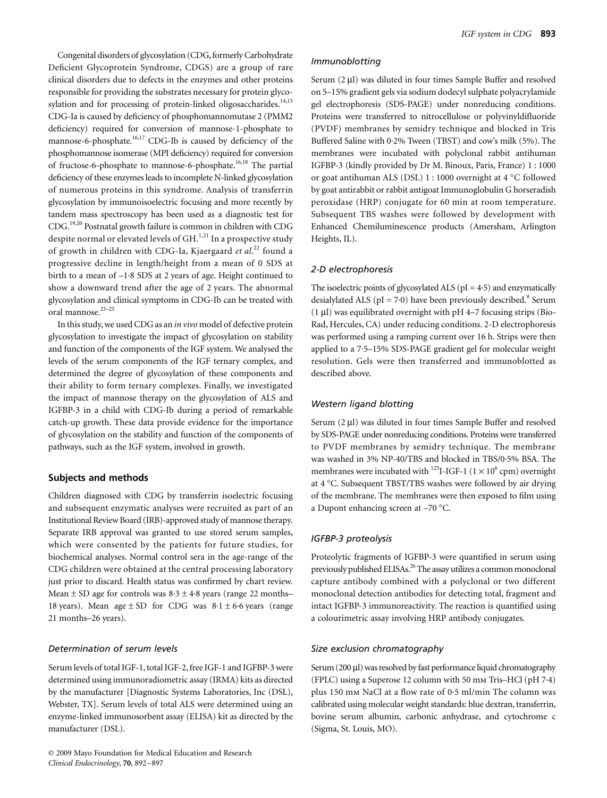Congenital disorders of glycosylation (CDG, formerly Carbohydrate Deficient Glycoprotein Syndrome, CDGS) are a group of rare clinical disorders due to defects in the enzymes and other proteins responsible for providing the substrates necessary for protein glycosylation and for processing of protein-linked oligosaccharides.<sup>14,15</sup> CDG-Ia is caused by deficiency of phosphomannomutase 2 (PMM2 deficiency) required for conversion of mannose-1-phosphate to mannose-6-phosphate.<sup>16,17</sup> CDG-Ib is caused by deficiency of the phosphomannose isomerase (MPI deficiency) required for conversion of fructose-6-phosphate to mannose-6-phosphate.<sup>16,18</sup> The partial deficiency of these enzymes leads to incomplete N-linked glycosylation of numerous proteins in this syndrome. Analysis of transferrin glycosylation by immunoisoelectric focusing and more recently by tandem mass spectroscopy has been used as a diagnostic test for CDG.19,20 Postnatal growth failure is common in children with CDG despite normal or elevated levels of GH.<sup>1,21</sup> In a prospective study of growth in children with CDG-Ia, Kjaergaard *et al*. 22 found a progressive decline in length/height from a mean of 0 SDS at birth to a mean of –1·8 SDS at 2 years of age. Height continued to show a downward trend after the age of 2 years. The abnormal glycosylation and clinical symptoms in CDG-Ib can be treated with oral mannose.<sup>23-25</sup>

In this study, we used CDG as an *in vivo* model of defective protein glycosylation to investigate the impact of glycosylation on stability and function of the components of the IGF system. We analysed the levels of the serum components of the IGF ternary complex, and determined the degree of glycosylation of these components and their ability to form ternary complexes. Finally, we investigated the impact of mannose therapy on the glycosylation of ALS and IGFBP-3 in a child with CDG-Ib during a period of remarkable catch-up growth. These data provide evidence for the importance of glycosylation on the stability and function of the components of pathways, such as the IGF system, involved in growth.

#### **Subjects and methods**

Children diagnosed with CDG by transferrin isoelectric focusing and subsequent enzymatic analyses were recruited as part of an Institutional Review Board (IRB)-approved study of mannose therapy. Separate IRB approval was granted to use stored serum samples, which were consented by the patients for future studies, for biochemical analyses. Normal control sera in the age-range of the CDG children were obtained at the central processing laboratory just prior to discard. Health status was confirmed by chart review. Mean  $\pm$  SD age for controls was  $8.3 \pm 4.8$  years (range 22 months– 18 years). Mean age  $\pm$  SD for CDG was  $8.1 \pm 6.6$  years (range 21 months–26 years).

# *Determination of serum levels*

Serum levels of total IGF-1, total IGF-2, free IGF-1 and IGFBP-3 were determined using immunoradiometric assay (IRMA) kits as directed by the manufacturer [Diagnostic Systems Laboratories, Inc (DSL), Webster, TX]. Serum levels of total ALS were determined using an enzyme-linked immunosorbent assay (ELISA) kit as directed by the manufacturer (DSL).

#### *Immunoblotting*

Serum (2 μl) was diluted in four times Sample Buffer and resolved on 5–15% gradient gels via sodium dodecyl sulphate polyacrylamide gel electrophoresis (SDS-PAGE) under nonreducing conditions. Proteins were transferred to nitrocellulose or polyvinyldifluoride (PVDF) membranes by semidry technique and blocked in Tris Buffered Saline with 0·2% Tween (TBST) and cow's milk (5%). The membranes were incubated with polyclonal rabbit antihuman IGFBP-3 (kindly provided by Dr M. Binoux, Paris, France) 1 : 1000 or goat antihuman ALS (DSL) 1 : 1000 overnight at 4 °C followed by goat antirabbit or rabbit antigoat Immunoglobulin G horseradish peroxidase (HRP) conjugate for 60 min at room temperature. Subsequent TBS washes were followed by development with Enhanced Chemiluminescence products (Amersham, Arlington Heights, IL).

# *2-D electrophoresis*

The isoelectric points of glycosylated ALS ( $pI = 4.5$ ) and enzymatically desialylated ALS ( $pI = 7.0$ ) have been previously described.<sup>9</sup> Serum (1 μl) was equilibrated overnight with pH 4–7 focusing strips (Bio-Rad, Hercules, CA) under reducing conditions. 2-D electrophoresis was performed using a ramping current over 16 h. Strips were then applied to a 7·5–15% SDS-PAGE gradient gel for molecular weight resolution. Gels were then transferred and immunoblotted as described above.

# *Western ligand blotting*

Serum (2 μl) was diluted in four times Sample Buffer and resolved by SDS-PAGE under nonreducing conditions. Proteins were transferred to PVDF membranes by semidry technique. The membrane was washed in 3% NP-40/TBS and blocked in TBS/0·5% BSA. The membranes were incubated with <sup>125</sup>I-IGF-1 ( $1 \times 10^6$  cpm) overnight at 4 °C. Subsequent TBST/TBS washes were followed by air drying of the membrane. The membranes were then exposed to film using a Dupont enhancing screen at –70 °C.

#### *IGFBP-3 proteolysis*

Proteolytic fragments of IGFBP-3 were quantified in serum using previously published ELISAs.<sup>26</sup> The assay utilizes a common monoclonal capture antibody combined with a polyclonal or two different monoclonal detection antibodies for detecting total, fragment and intact IGFBP-3 immunoreactivity. The reaction is quantified using a colourimetric assay involving HRP antibody conjugates.

# *Size exclusion chromatography*

Serum (200 μl) was resolved by fast performance liquid chromatography (FPLC) using a Superose 12 column with 50 mm Tris–HCl (pH 7·4) plus 150 mm NaCl at a flow rate of 0·5 ml/min The column was calibrated using molecular weight standards: blue dextran, transferrin, bovine serum albumin, carbonic anhydrase, and cytochrome c (Sigma, St. Louis, MO).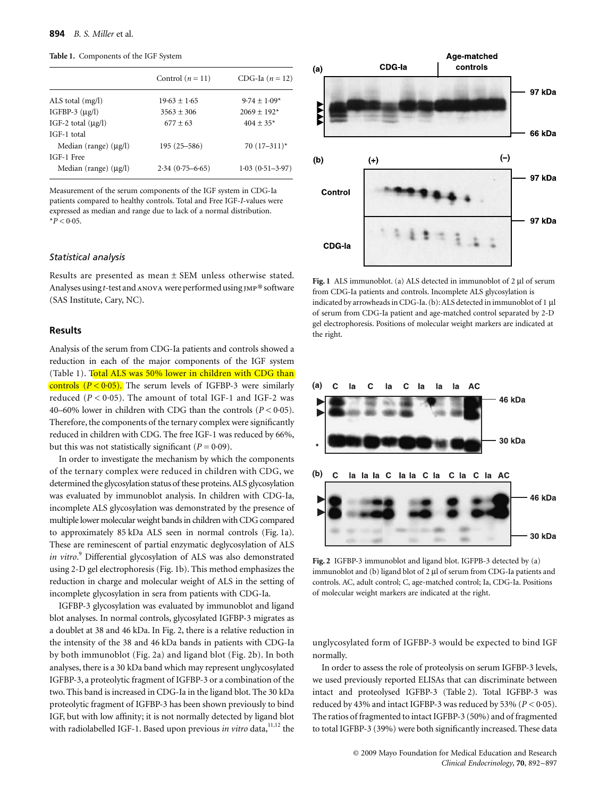**Table 1.** Components of the IGF System

|                            | Control $(n = 11)$  | CDG-Ia $(n=12)$             |
|----------------------------|---------------------|-----------------------------|
|                            |                     |                             |
| ALS total (mg/l)           | $19.63 + 1.65$      | $9.74 + 1.09*$              |
| IGFBP-3 $(\mu$ g/l)        | $3563 + 306$        | $2069 \pm 192$ <sup>*</sup> |
| IGF-2 total $(\mu g/l)$    | $677 + 63$          | $404 + 35*$                 |
| IGF-1 total                |                     |                             |
| Median (range) $(\mu g/l)$ | $195(25 - 586)$     | $70(17-311)^*$              |
| IGF-1 Free                 |                     |                             |
| Median (range) $(\mu g/l)$ | $2.34(0.75 - 6.65)$ | $1.03(0.51-3.97)$           |

Measurement of the serum components of the IGF system in CDG-Ia patients compared to healthy controls. Total and Free IGF-*I*-values were expressed as median and range due to lack of a normal distribution.  $*P < 0.05$ .

# *Statistical analysis*

Results are presented as mean ± SEM unless otherwise stated. Analyses using *t*-test and anova were performed using jmp® software (SAS Institute, Cary, NC).

# **Results**

Analysis of the serum from CDG-Ia patients and controls showed a reduction in each of the major components of the IGF system (Table 1). Total ALS was 50% lower in children with CDG than controls  $(P < 0.05)$ . The serum levels of IGFBP-3 were similarly reduced  $(P < 0.05)$ . The amount of total IGF-1 and IGF-2 was 40–60% lower in children with CDG than the controls  $(P < 0.05)$ . Therefore, the components of the ternary complex were significantly reduced in children with CDG. The free IGF-1 was reduced by 66%, but this was not statistically significant  $(P = 0.09)$ .

In order to investigate the mechanism by which the components of the ternary complex were reduced in children with CDG, we determined the glycosylation status of these proteins. ALS glycosylation was evaluated by immunoblot analysis. In children with CDG-Ia, incomplete ALS glycosylation was demonstrated by the presence of multiple lower molecular weight bands in children with CDG compared to approximately 85 kDa ALS seen in normal controls (Fig. 1a). These are reminescent of partial enzymatic deglycosylation of ALS *in vitro*. 9 Differential glycosylation of ALS was also demonstrated using 2-D gel electrophoresis (Fig. 1b). This method emphasizes the reduction in charge and molecular weight of ALS in the setting of incomplete glycosylation in sera from patients with CDG-Ia.

IGFBP-3 glycosylation was evaluated by immunoblot and ligand blot analyses. In normal controls, glycosylated IGFBP-3 migrates as a doublet at 38 and 46 kDa. In Fig. 2, there is a relative reduction in the intensity of the 38 and 46 kDa bands in patients with CDG-Ia by both immunoblot (Fig. 2a) and ligand blot (Fig. 2b). In both analyses, there is a 30 kDa band which may represent unglycosylated IGFBP-3, a proteolytic fragment of IGFBP-3 or a combination of the two. This band is increased in CDG-Ia in the ligand blot. The 30 kDa proteolytic fragment of IGFBP-3 has been shown previously to bind IGF, but with low affinity; it is not normally detected by ligand blot with radiolabelled IGF-1. Based upon previous *in vitro* data,<sup>11,12</sup> the



**Fig. 1** ALS immunoblot. (a) ALS detected in immunoblot of 2 μl of serum from CDG-Ia patients and controls. Incomplete ALS glycosylation is indicated by arrowheads in CDG-Ia. (b): ALS detected in immunoblot of 1 μl of serum from CDG-Ia patient and age-matched control separated by 2-D gel electrophoresis. Positions of molecular weight markers are indicated at the right.



**Fig. 2** IGFBP-3 immunoblot and ligand blot. IGFPB-3 detected by (a) immunoblot and (b) ligand blot of 2 μl of serum from CDG-Ia patients and controls. AC, adult control; C, age-matched control; Ia, CDG-Ia. Positions of molecular weight markers are indicated at the right.

unglycosylated form of IGFBP-3 would be expected to bind IGF normally.

In order to assess the role of proteolysis on serum IGFBP-3 levels, we used previously reported ELISAs that can discriminate between intact and proteolysed IGFBP-3 (Table 2). Total IGFBP-3 was reduced by 43% and intact IGFBP-3 was reduced by 53% (*P <* 0·05). The ratios of fragmented to intact IGFBP-3 (50%) and of fragmented to total IGFBP-3 (39%) were both significantly increased. These data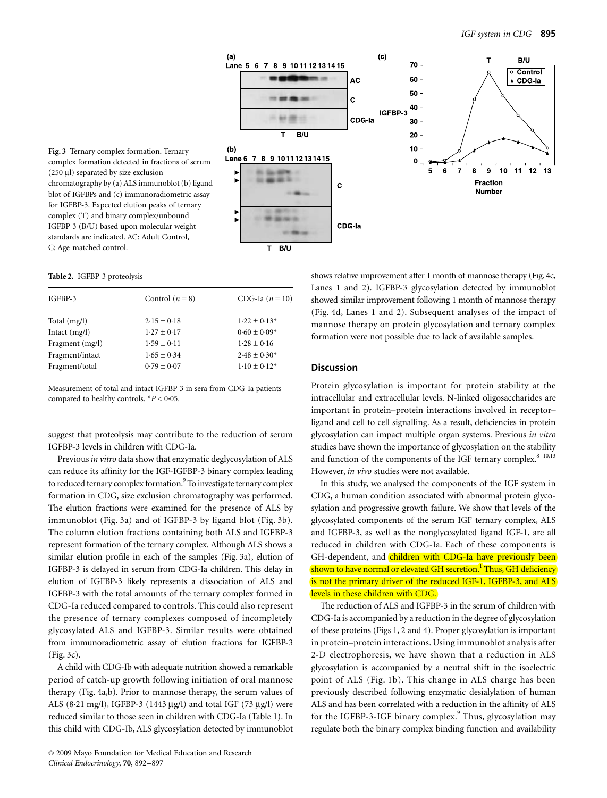

**Fig. 3** Ternary complex formation. Ternary complex formation detected in fractions of serum (250 μl) separated by size exclusion chromatography by (a) ALS immunoblot (b) ligand blot of IGFBPs and (c) immunoradiometric assay for IGFBP-3. Expected elution peaks of ternary complex (T) and binary complex/unbound IGFBP-3 (B/U) based upon molecular weight standards are indicated. AC: Adult Control, C: Age-matched control.

#### **Table 2.** IGFBP-3 proteolysis

| IGFBP-3         | Control $(n=8)$ | CDG-Ia $(n = 10)$ |
|-----------------|-----------------|-------------------|
| Total (mg/l)    | $2.15 \pm 0.18$ | $1.22 \pm 0.13*$  |
| Intact $(mg/l)$ | $1.27 \pm 0.17$ | $0.60 \pm 0.09*$  |
| Fragment (mg/l) | $1.59 + 0.11$   | $1.28 + 0.16$     |
| Fragment/intact | $1.65 + 0.34$   | $2.48 \pm 0.30*$  |
| Fragment/total  | $0.79 \pm 0.07$ | $1.10 \pm 0.12*$  |
|                 |                 |                   |

Measurement of total and intact IGFBP-3 in sera from CDG-Ia patients compared to healthy controls. \**P <* 0·05.

suggest that proteolysis may contribute to the reduction of serum IGFBP-3 levels in children with CDG-Ia.

Previous *in vitro* data show that enzymatic deglycosylation of ALS can reduce its affinity for the IGF-IGFBP-3 binary complex leading to reduced ternary complex formation.<sup>9</sup> To investigate ternary complex formation in CDG, size exclusion chromatography was performed. The elution fractions were examined for the presence of ALS by immunoblot (Fig. 3a) and of IGFBP-3 by ligand blot (Fig. 3b). The column elution fractions containing both ALS and IGFBP-3 represent formation of the ternary complex. Although ALS shows a similar elution profile in each of the samples (Fig. 3a), elution of IGFBP-3 is delayed in serum from CDG-Ia children. This delay in elution of IGFBP-3 likely represents a dissociation of ALS and IGFBP-3 with the total amounts of the ternary complex formed in CDG-Ia reduced compared to controls. This could also represent the presence of ternary complexes composed of incompletely glycosylated ALS and IGFBP-3. Similar results were obtained from immunoradiometric assay of elution fractions for IGFBP-3 (Fig. 3c).

A child with CDG-Ib with adequate nutrition showed a remarkable period of catch-up growth following initiation of oral mannose therapy (Fig. 4a,b). Prior to mannose therapy, the serum values of ALS (8·21 mg/l), IGFBP-3 (1443 μg/l) and total IGF (73 μg/l) were reduced similar to those seen in children with CDG-Ia (Table 1). In this child with CDG-Ib, ALS glycosylation detected by immunoblot shows relative improvement after 1 month of mannose therapy (Fig. 4c, Lanes 1 and 2). IGFBP-3 glycosylation detected by immunoblot showed similar improvement following 1 month of mannose therapy (Fig. 4d, Lanes 1 and 2). Subsequent analyses of the impact of mannose therapy on protein glycosylation and ternary complex formation were not possible due to lack of available samples.

#### **Discussion**

Protein glycosylation is important for protein stability at the intracellular and extracellular levels. N-linked oligosaccharides are important in protein–protein interactions involved in receptor– ligand and cell to cell signalling. As a result, deficiencies in protein glycosylation can impact multiple organ systems. Previous *in vitro* studies have shown the importance of glycosylation on the stability and function of the components of the IGF ternary complex. $8-10,13$ However, *in vivo* studies were not available.

In this study, we analysed the components of the IGF system in CDG, a human condition associated with abnormal protein glycosylation and progressive growth failure. We show that levels of the glycosylated components of the serum IGF ternary complex, ALS and IGFBP-3, as well as the nonglycosylated ligand IGF-1, are all reduced in children with CDG-Ia. Each of these components is GH-dependent, and children with CDG-Ia have previously been shown to have normal or elevated GH secretion.<sup>1</sup> Thus, GH deficiency is not the primary driver of the reduced IGF-1, IGFBP-3, and ALS levels in these children with CDG.

The reduction of ALS and IGFBP-3 in the serum of children with CDG-Ia is accompanied by a reduction in the degree of glycosylation of these proteins (Figs 1, 2 and 4). Proper glycosylation is important in protein–protein interactions. Using immunoblot analysis after 2-D electrophoresis, we have shown that a reduction in ALS glycosylation is accompanied by a neutral shift in the isoelectric point of ALS (Fig. 1b). This change in ALS charge has been previously described following enzymatic desialylation of human ALS and has been correlated with a reduction in the affinity of ALS for the IGFBP-3-IGF binary complex.<sup>9</sup> Thus, glycosylation may regulate both the binary complex binding function and availability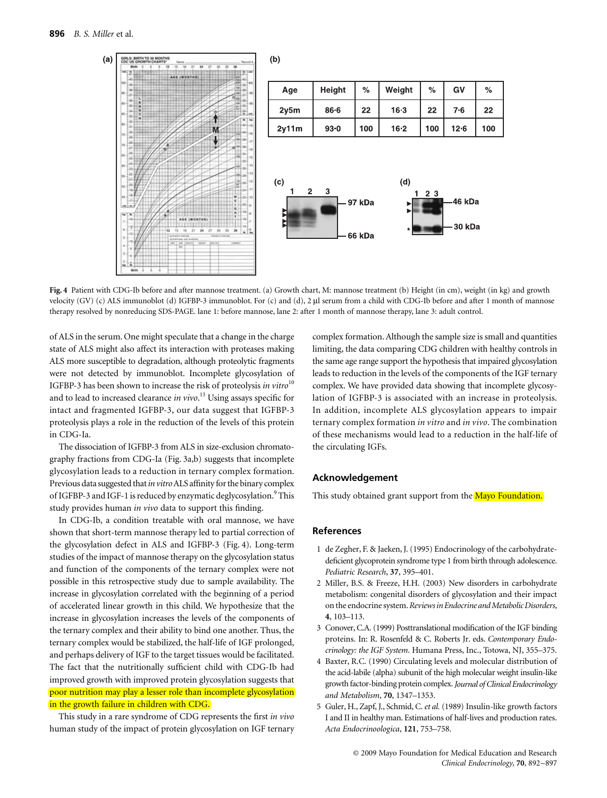



Fig. 4 Patient with CDG-Ib before and after mannose treatment. (a) Growth chart, M: mannose treatment (b) Height (in cm), weight (in kg) and growth velocity (GV) (c) ALS immunoblot (d) IGFBP-3 immunoblot. For (c) and (d), 2 μl serum from a child with CDG-Ib before and after 1 month of mannose therapy resolved by nonreducing SDS-PAGE. lane 1: before mannose, lane 2: after 1 month of mannose therapy, lane 3: adult control.

of ALS in the serum. One might speculate that a change in the charge state of ALS might also affect its interaction with proteases making ALS more susceptible to degradation, although proteolytic fragments were not detected by immunoblot. Incomplete glycosylation of IGFBP-3 has been shown to increase the risk of proteolysis *in vitro*<sup>10</sup> and to lead to increased clearance *in vivo*. 13 Using assays specific for intact and fragmented IGFBP-3, our data suggest that IGFBP-3 proteolysis plays a role in the reduction of the levels of this protein in CDG-Ia.

The dissociation of IGFBP-3 from ALS in size-exclusion chromatography fractions from CDG-Ia (Fig. 3a,b) suggests that incomplete glycosylation leads to a reduction in ternary complex formation. Previous data suggested that *in vitro* ALS affinity for the binary complex of IGFBP-3 and IGF-1 is reduced by enzymatic deglycosylation.<sup>9</sup> This study provides human *in vivo* data to support this finding.

In CDG-Ib, a condition treatable with oral mannose, we have shown that short-term mannose therapy led to partial correction of the glycosylation defect in ALS and IGFBP-3 (Fig. 4). Long-term studies of the impact of mannose therapy on the glycosylation status and function of the components of the ternary complex were not possible in this retrospective study due to sample availability. The increase in glycosylation correlated with the beginning of a period of accelerated linear growth in this child. We hypothesize that the increase in glycosylation increases the levels of the components of the ternary complex and their ability to bind one another. Thus, the ternary complex would be stabilized, the half-life of IGF prolonged, and perhaps delivery of IGF to the target tissues would be facilitated. The fact that the nutritionally sufficient child with CDG-Ib had improved growth with improved protein glycosylation suggests that poor nutrition may play a lesser role than incomplete glycosylation in the growth failure in children with CDG.

This study in a rare syndrome of CDG represents the first *in vivo* human study of the impact of protein glycosylation on IGF ternary

complex formation. Although the sample size is small and quantities limiting, the data comparing CDG children with healthy controls in the same age range support the hypothesis that impaired glycosylation leads to reduction in the levels of the components of the IGF ternary complex. We have provided data showing that incomplete glycosylation of IGFBP-3 is associated with an increase in proteolysis. In addition, incomplete ALS glycosylation appears to impair ternary complex formation *in vitro* and *in vivo*. The combination of these mechanisms would lead to a reduction in the half-life of the circulating IGFs.

# **Acknowledgement**

This study obtained grant support from the Mayo Foundation.

#### **References**

- 1 de Zegher, F. & Jaeken, J. (1995) Endocrinology of the carbohydratedeficient glycoprotein syndrome type 1 from birth through adolescence. *Pediatric Research*, **37**, 395–401.
- 2 Miller, B.S. & Freeze, H.H. (2003) New disorders in carbohydrate metabolism: congenital disorders of glycosylation and their impact on the endocrine system. *Reviews in Endocrine and Metabolic Disorders*, **4**, 103–113.
- 3 Conover, C.A. (1999) Posttranslational modification of the IGF binding proteins. In: R. Rosenfeld & C. Roberts Jr. eds. *Contemporary Endocrinology: the IGF System*. Humana Press, Inc., Totowa, NJ, 355–375.
- 4 Baxter, R.C. (1990) Circulating levels and molecular distribution of the acid-labile (alpha) subunit of the high molecular weight insulin-like growth factor-binding protein complex. *Journal of Clinical Endocrinology and Metabolism*, **70**, 1347–1353.
- 5 Guler, H., Zapf, J., Schmid, C. *et al.* (1989) Insulin-like growth factors I and II in healthy man. Estimations of half-lives and production rates. *Acta Endocrinoologica*, **121**, 753–758.